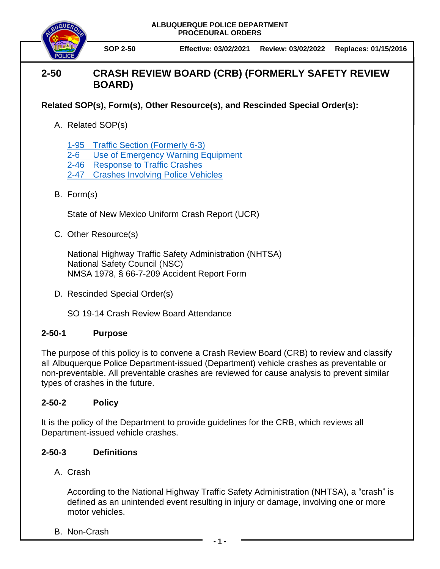**ALBUQUERQUE POLICE DEPARTMENT PROCEDURAL ORDERS**



**SOP 2-50 Effective: 03/02/2021 Review: 03/02/2022 Replaces: 01/15/2016**

# **2-50 CRASH REVIEW BOARD (CRB) (FORMERLY SAFETY REVIEW BOARD)**

## **Related SOP(s), Form(s), Other Resource(s), and Rescinded Special Order(s):**

A. Related SOP(s)

1-95 [Traffic Section](https://powerdms.com/docs/225) (Formerly 6-3)

- [2-6 Use of Emergency Warning Equipment](https://powerdms.com/docs/140)
- 2-46 [Response to Traffic Crashes](https://powerdms.com/docs/1697014)
- 2-47 [Crashes Involving Police Vehicles](https://powerdms.com/docs/42)
- B. Form(s)

State of New Mexico Uniform Crash Report (UCR)

C. Other Resource(s)

National Highway Traffic Safety Administration (NHTSA) National Safety Council (NSC) NMSA 1978, § 66-7-209 Accident Report Form

D. Rescinded Special Order(s)

SO 19-14 Crash Review Board Attendance

### **2-50-1 Purpose**

The purpose of this policy is to convene a Crash Review Board (CRB) to review and classify all Albuquerque Police Department-issued (Department) vehicle crashes as preventable or non-preventable. All preventable crashes are reviewed for cause analysis to prevent similar types of crashes in the future.

### **2-50-2 Policy**

It is the policy of the Department to provide guidelines for the CRB, which reviews all Department-issued vehicle crashes.

### **2-50-3 Definitions**

A. Crash

According to the National Highway Traffic Safety Administration (NHTSA), a "crash" is defined as an unintended event resulting in injury or damage, involving one or more motor vehicles.

B. Non-Crash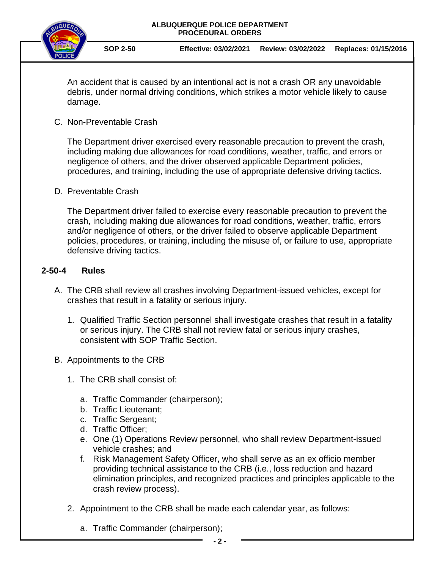



**SOP 2-50 Effective: 03/02/2021 Review: 03/02/2022 Replaces: 01/15/2016**

An accident that is caused by an intentional act is not a crash OR any unavoidable debris, under normal driving conditions, which strikes a motor vehicle likely to cause damage.

C. Non-Preventable Crash

The Department driver exercised every reasonable precaution to prevent the crash, including making due allowances for road conditions, weather, traffic, and errors or negligence of others, and the driver observed applicable Department policies, procedures, and training, including the use of appropriate defensive driving tactics.

D. Preventable Crash

The Department driver failed to exercise every reasonable precaution to prevent the crash, including making due allowances for road conditions, weather, traffic, errors and/or negligence of others, or the driver failed to observe applicable Department policies, procedures, or training, including the misuse of, or failure to use, appropriate defensive driving tactics.

#### **2-50-4 Rules**

- A. The CRB shall review all crashes involving Department-issued vehicles, except for crashes that result in a fatality or serious injury.
	- 1. Qualified Traffic Section personnel shall investigate crashes that result in a fatality or serious injury. The CRB shall not review fatal or serious injury crashes, consistent with SOP Traffic Section.
- B. Appointments to the CRB
	- 1. The CRB shall consist of:
		- a. Traffic Commander (chairperson);
		- b. Traffic Lieutenant;
		- c. Traffic Sergeant;
		- d. Traffic Officer;
		- e. One (1) Operations Review personnel, who shall review Department-issued vehicle crashes; and
		- f. Risk Management Safety Officer, who shall serve as an ex officio member providing technical assistance to the CRB (i.e., loss reduction and hazard elimination principles, and recognized practices and principles applicable to the crash review process).
	- 2. Appointment to the CRB shall be made each calendar year, as follows:
		- a. Traffic Commander (chairperson);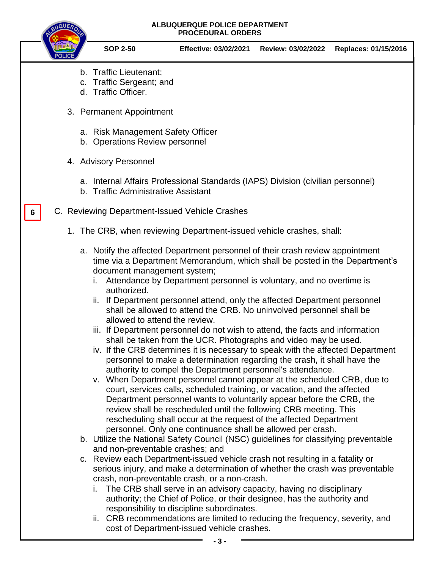#### **ALBUQUERQUE POLICE DEPARTMENT PROCEDURAL ORDERS**



**6**

**SOP 2-50 Effective: 03/02/2021 Review: 03/02/2022 Replaces: 01/15/2016**

- b. Traffic Lieutenant;
- c. Traffic Sergeant; and
- d. Traffic Officer.
- 3. Permanent Appointment
	- a. Risk Management Safety Officer
	- b. Operations Review personnel
- 4. Advisory Personnel
	- a. Internal Affairs Professional Standards (IAPS) Division (civilian personnel)
	- b. Traffic Administrative Assistant
- C. Reviewing Department-Issued Vehicle Crashes
	- 1. The CRB, when reviewing Department-issued vehicle crashes, shall:
		- a. Notify the affected Department personnel of their crash review appointment time via a Department Memorandum, which shall be posted in the Department's document management system;
			- i. Attendance by Department personnel is voluntary, and no overtime is authorized.
			- ii. If Department personnel attend, only the affected Department personnel shall be allowed to attend the CRB. No uninvolved personnel shall be allowed to attend the review.
			- iii. If Department personnel do not wish to attend, the facts and information shall be taken from the UCR. Photographs and video may be used.
			- iv. If the CRB determines it is necessary to speak with the affected Department personnel to make a determination regarding the crash, it shall have the authority to compel the Department personnel's attendance.
			- v. When Department personnel cannot appear at the scheduled CRB, due to court, services calls, scheduled training, or vacation, and the affected Department personnel wants to voluntarily appear before the CRB, the review shall be rescheduled until the following CRB meeting. This rescheduling shall occur at the request of the affected Department personnel. Only one continuance shall be allowed per crash.
		- b. Utilize the National Safety Council (NSC) guidelines for classifying preventable and non-preventable crashes; and
		- c. Review each Department-issued vehicle crash not resulting in a fatality or serious injury, and make a determination of whether the crash was preventable crash, non-preventable crash, or a non-crash.
			- i. The CRB shall serve in an advisory capacity, having no disciplinary authority; the Chief of Police, or their designee, has the authority and responsibility to discipline subordinates.
			- ii. CRB recommendations are limited to reducing the frequency, severity, and cost of Department-issued vehicle crashes.